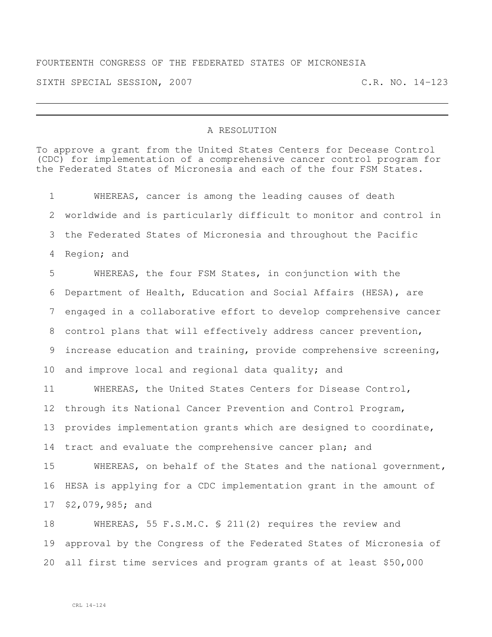## FOURTEENTH CONGRESS OF THE FEDERATED STATES OF MICRONESIA

SIXTH SPECIAL SESSION, 2007 C.R. NO. 14-123

## A RESOLUTION

To approve a grant from the United States Centers for Decease Control (CDC) for implementation of a comprehensive cancer control program for the Federated States of Micronesia and each of the four FSM States.

 WHEREAS, cancer is among the leading causes of death worldwide and is particularly difficult to monitor and control in the Federated States of Micronesia and throughout the Pacific Region; and WHEREAS, the four FSM States, in conjunction with the Department of Health, Education and Social Affairs (HESA), are engaged in a collaborative effort to develop comprehensive cancer control plans that will effectively address cancer prevention, increase education and training, provide comprehensive screening, and improve local and regional data quality; and WHEREAS, the United States Centers for Disease Control, through its National Cancer Prevention and Control Program, provides implementation grants which are designed to coordinate, 14 tract and evaluate the comprehensive cancer plan; and WHEREAS, on behalf of the States and the national government, HESA is applying for a CDC implementation grant in the amount of \$2,079,985; and WHEREAS, 55 F.S.M.C. § 211(2) requires the review and approval by the Congress of the Federated States of Micronesia of

all first time services and program grants of at least \$50,000

CRL 14-124